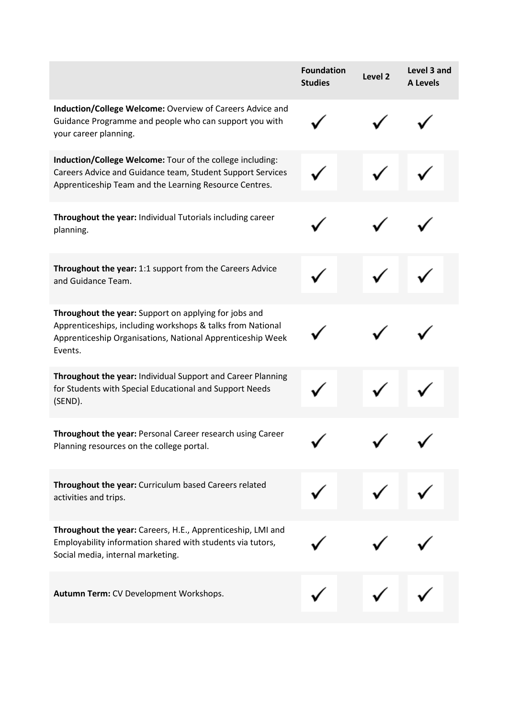|                                                                                                                                                                                              | <b>Foundation</b><br><b>Studies</b> | Level 2 | Level 3 and<br><b>A Levels</b> |
|----------------------------------------------------------------------------------------------------------------------------------------------------------------------------------------------|-------------------------------------|---------|--------------------------------|
| Induction/College Welcome: Overview of Careers Advice and<br>Guidance Programme and people who can support you with<br>your career planning.                                                 |                                     |         |                                |
| Induction/College Welcome: Tour of the college including:<br>Careers Advice and Guidance team, Student Support Services<br>Apprenticeship Team and the Learning Resource Centres.            |                                     |         |                                |
| Throughout the year: Individual Tutorials including career<br>planning.                                                                                                                      |                                     |         |                                |
| Throughout the year: 1:1 support from the Careers Advice<br>and Guidance Team.                                                                                                               |                                     |         |                                |
| Throughout the year: Support on applying for jobs and<br>Apprenticeships, including workshops & talks from National<br>Apprenticeship Organisations, National Apprenticeship Week<br>Events. |                                     |         |                                |
| Throughout the year: Individual Support and Career Planning<br>for Students with Special Educational and Support Needs<br>(SEND).                                                            |                                     |         |                                |
| Throughout the year: Personal Career research using Career<br>Planning resources on the college portal.                                                                                      |                                     |         |                                |
| Throughout the year: Curriculum based Careers related<br>activities and trips.                                                                                                               |                                     |         |                                |
| Throughout the year: Careers, H.E., Apprenticeship, LMI and<br>Employability information shared with students via tutors,<br>Social media, internal marketing.                               |                                     |         |                                |
| Autumn Term: CV Development Workshops.                                                                                                                                                       |                                     |         |                                |